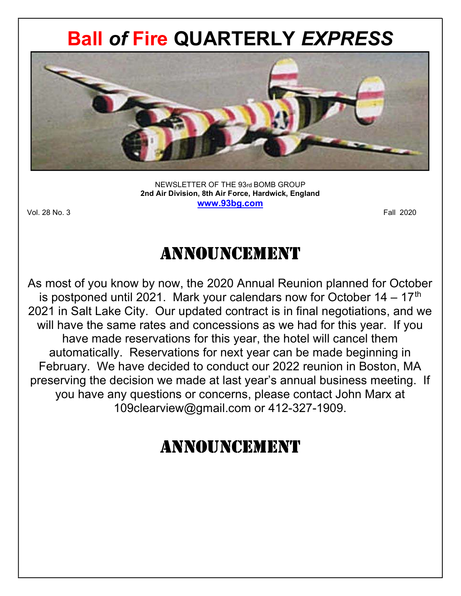# Ball of Fire QUARTERLY EXPRESS



NEWSLETTER OF THE 93rd BOMB GROUP 2nd Air Division, 8th Air Force, Hardwick, England www.93bg.com

Vol. 28 No. 3 Fall 2020

# **ANNOUNCEMENT**

As most of you know by now, the 2020 Annual Reunion planned for October is postponed until 2021. Mark your calendars now for October  $14 - 17$ <sup>th</sup> 2021 in Salt Lake City. Our updated contract is in final negotiations, and we will have the same rates and concessions as we had for this year. If you have made reservations for this year, the hotel will cancel them automatically. Reservations for next year can be made beginning in February. We have decided to conduct our 2022 reunion in Boston, MA preserving the decision we made at last year's annual business meeting. If you have any questions or concerns, please contact John Marx at 109clearview@gmail.com or 412-327-1909.

# Announcement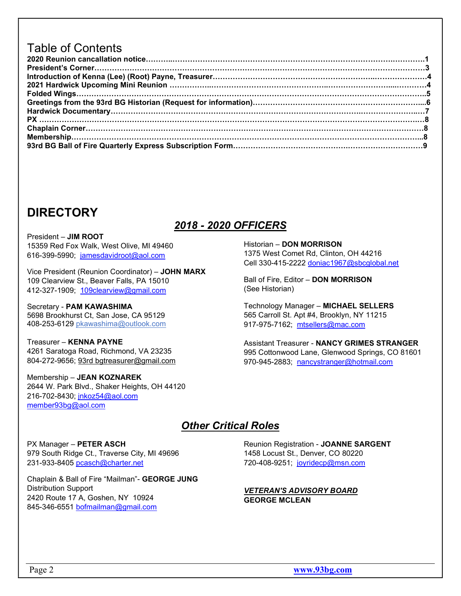### Table of Contents

### **DIRECTORY**

### 2018 - 2020 OFFICERS

President – JIM ROOT 15359 Red Fox Walk, West Olive, MI 49460 616-399-5990; jamesdavidroot@aol.com

Vice President (Reunion Coordinator) – JOHN MARX 109 Clearview St., Beaver Falls, PA 15010 412-327-1909; 109clearview@gmail.com

Secretary - PAM KAWASHIMA 5698 Brookhurst Ct, San Jose, CA 95129 408-253-6129 pkawashima@outlook.com

Treasurer – KENNA PAYNE 4261 Saratoga Road, Richmond, VA 23235 804-272-9656; 93rd bgtreasurer@gmail.com

Membership – JEAN KOZNAREK 2644 W. Park Blvd., Shaker Heights, OH 44120 216-702-8430; jnkoz54@aol.com member93bg@aol.com

#### Historian – DON MORRISON 1375 West Comet Rd, Clinton, OH 44216 Cell 330-415-2222 doniac1967@sbcglobal.net

Ball of Fire, Editor – DON MORRISON (See Historian)

Technology Manager – MICHAEL SELLERS 565 Carroll St. Apt #4, Brooklyn, NY 11215 917-975-7162; mtsellers@mac.com

Assistant Treasurer - NANCY GRIMES STRANGER 995 Cottonwood Lane, Glenwood Springs, CO 81601 970-945-2883; nancystranger@hotmail.com

### Other Critical Roles

PX Manager – PETER ASCH 979 South Ridge Ct., Traverse City, MI 49696 231-933-8405 pcasch@charter.net

Chaplain & Ball of Fire "Mailman"- GEORGE JUNG Distribution Support 2420 Route 17 A, Goshen, NY 10924 845-346-6551 bofmailman@gmail.com

Reunion Registration - JOANNE SARGENT 1458 Locust St., Denver, CO 80220 720-408-9251; joyridecp@msn.com

#### VETERAN'S ADVISORY BOARD GEORGE MCLEAN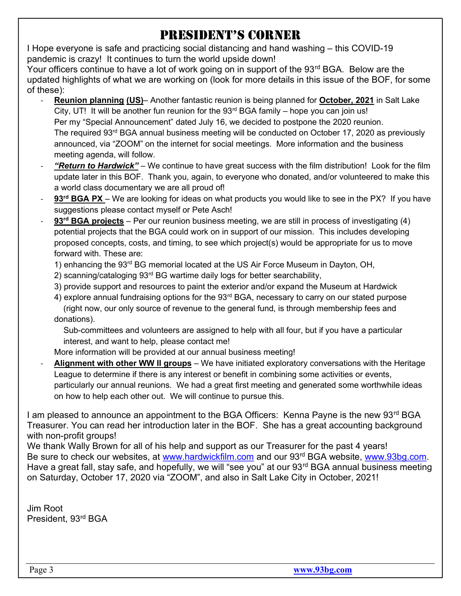# President's corner

I Hope everyone is safe and practicing social distancing and hand washing – this COVID-19 pandemic is crazy! It continues to turn the world upside down!

Your officers continue to have a lot of work going on in support of the 93<sup>rd</sup> BGA. Below are the updated highlights of what we are working on (look for more details in this issue of the BOF, for some of these):

- Reunion planning (US)– Another fantastic reunion is being planned for October, 2021 in Salt Lake City, UT! It will be another fun reunion for the  $93<sup>rd</sup> BGA family – hope you can join us!$ Per my "Special Announcement" dated July 16, we decided to postpone the 2020 reunion. The required 93<sup>rd</sup> BGA annual business meeting will be conducted on October 17, 2020 as previously announced, via "ZOOM" on the internet for social meetings. More information and the business meeting agenda, will follow.
- "Return to Hardwick" We continue to have great success with the film distribution! Look for the film update later in this BOF. Thank you, again, to everyone who donated, and/or volunteered to make this a world class documentary we are all proud of!
- 93<sup>rd</sup> BGA PX We are looking for ideas on what products you would like to see in the PX? If you have suggestions please contact myself or Pete Asch!
- 93<sup>rd</sup> BGA projects Per our reunion business meeting, we are still in process of investigating (4) potential projects that the BGA could work on in support of our mission. This includes developing proposed concepts, costs, and timing, to see which project(s) would be appropriate for us to move forward with. These are:
	- 1) enhancing the 93<sup>rd</sup> BG memorial located at the US Air Force Museum in Dayton, OH,
	- 2) scanning/cataloging 93<sup>rd</sup> BG wartime daily logs for better searchability,
	- 3) provide support and resources to paint the exterior and/or expand the Museum at Hardwick

4) explore annual fundraising options for the 93<sup>rd</sup> BGA, necessary to carry on our stated purpose (right now, our only source of revenue to the general fund, is through membership fees and donations).

 Sub-committees and volunteers are assigned to help with all four, but if you have a particular interest, and want to help, please contact me!

- More information will be provided at our annual business meeting!
- **Alignment with other WW II groups** We have initiated exploratory conversations with the Heritage League to determine if there is any interest or benefit in combining some activities or events, particularly our annual reunions. We had a great first meeting and generated some worthwhile ideas on how to help each other out. We will continue to pursue this.

I am pleased to announce an appointment to the BGA Officers: Kenna Payne is the new 93<sup>rd</sup> BGA Treasurer. You can read her introduction later in the BOF. She has a great accounting background with non-profit groups!

We thank Wally Brown for all of his help and support as our Treasurer for the past 4 years! Be sure to check our websites, at www.hardwickfilm.com and our 93<sup>rd</sup> BGA website, www.93bg.com. Have a great fall, stay safe, and hopefully, we will "see you" at our 93<sup>rd</sup> BGA annual business meeting on Saturday, October 17, 2020 via "ZOOM", and also in Salt Lake City in October, 2021!

Jim Root President, 93rd BGA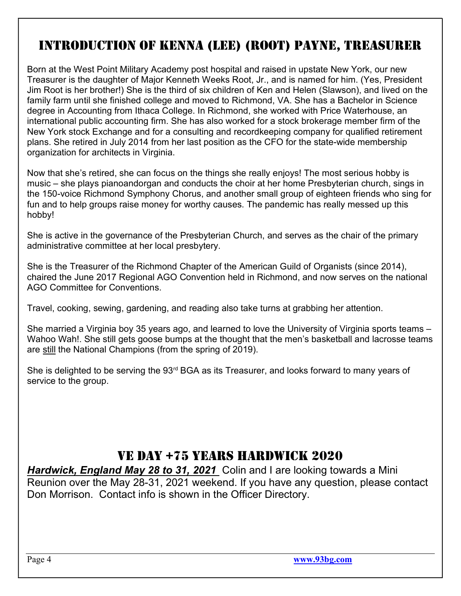# introduction of KennA (Lee) (root) PAyne, treAsurer

Born at the West Point Military Academy post hospital and raised in upstate New York, our new Treasurer is the daughter of Major Kenneth Weeks Root, Jr., and is named for him. (Yes, President Jim Root is her brother!) She is the third of six children of Ken and Helen (Slawson), and lived on the family farm until she finished college and moved to Richmond, VA. She has a Bachelor in Science degree in Accounting from Ithaca College. In Richmond, she worked with Price Waterhouse, an international public accounting firm. She has also worked for a stock brokerage member firm of the New York stock Exchange and for a consulting and recordkeeping company for qualified retirement plans. She retired in July 2014 from her last position as the CFO for the state-wide membership organization for architects in Virginia.

Now that she's retired, she can focus on the things she really enjoys! The most serious hobby is music – she plays pianoandorgan and conducts the choir at her home Presbyterian church, sings in the 150-voice Richmond Symphony Chorus, and another small group of eighteen friends who sing for fun and to help groups raise money for worthy causes. The pandemic has really messed up this hobby!

She is active in the governance of the Presbyterian Church, and serves as the chair of the primary administrative committee at her local presbytery.

She is the Treasurer of the Richmond Chapter of the American Guild of Organists (since 2014), chaired the June 2017 Regional AGO Convention held in Richmond, and now serves on the national AGO Committee for Conventions.

Travel, cooking, sewing, gardening, and reading also take turns at grabbing her attention.

She married a Virginia boy 35 years ago, and learned to love the University of Virginia sports teams – Wahoo Wah!. She still gets goose bumps at the thought that the men's basketball and lacrosse teams are still the National Champions (from the spring of 2019).

She is delighted to be serving the 93<sup>rd</sup> BGA as its Treasurer, and looks forward to many years of service to the group.

### Ve dAy +75 yeArs HArdwicK 2020

Hardwick, England May 28 to 31, 2021 Colin and I are looking towards a Mini Reunion over the May 28-31, 2021 weekend. If you have any question, please contact Don Morrison. Contact info is shown in the Officer Directory.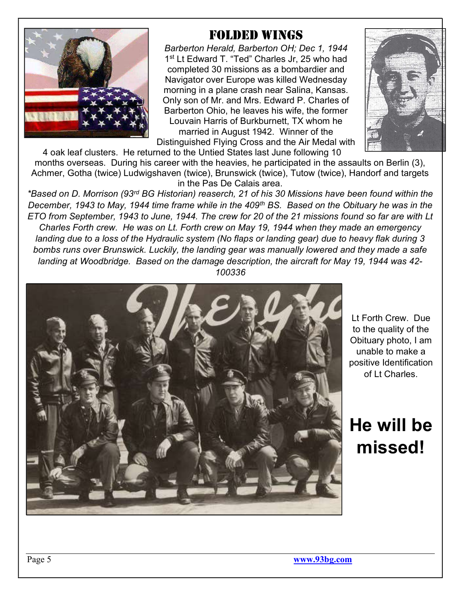

### foLded wings

Barberton Herald, Barberton OH; Dec 1, 1944 1<sup>st</sup> Lt Edward T. "Ted" Charles Jr, 25 who had completed 30 missions as a bombardier and Navigator over Europe was killed Wednesday morning in a plane crash near Salina, Kansas. Only son of Mr. and Mrs. Edward P. Charles of Barberton Ohio, he leaves his wife, the former Louvain Harris of Burkburnett, TX whom he married in August 1942. Winner of the Distinguished Flying Cross and the Air Medal with



4 oak leaf clusters. He returned to the Untied States last June following 10 months overseas. During his career with the heavies, he participated in the assaults on Berlin (3), Achmer, Gotha (twice) Ludwigshaven (twice), Brunswick (twice), Tutow (twice), Handorf and targets in the Pas De Calais area.

\*Based on D. Morrison (93rd BG Historian) reaserch, 21 of his 30 Missions have been found within the December, 1943 to May, 1944 time frame while in the 409<sup>th</sup> BS. Based on the Obituary he was in the ETO from September, 1943 to June, 1944. The crew for 20 of the 21 missions found so far are with Lt Charles Forth crew. He was on Lt. Forth crew on May 19, 1944 when they made an emergency landing due to a loss of the Hydraulic system (No flaps or landing gear) due to heavy flak during 3 bombs runs over Brunswick. Luckily, the landing gear was manually lowered and they made a safe landing at Woodbridge. Based on the damage description, the aircraft for May 19, 1944 was 42- 100336



Lt Forth Crew. Due to the quality of the Obituary photo, I am unable to make a positive Identification of Lt Charles.

He will be missed!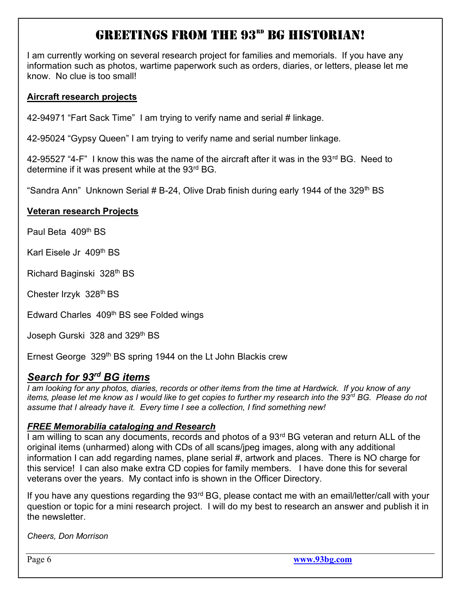# greetings from tHe 93rd Bg HistoriAn!

I am currently working on several research project for families and memorials. If you have any information such as photos, wartime paperwork such as orders, diaries, or letters, please let me know. No clue is too small!

#### Aircraft research projects

42-94971 "Fart Sack Time" I am trying to verify name and serial # linkage.

42-95024 "Gypsy Queen" I am trying to verify name and serial number linkage.

42-95527 "4-F" I know this was the name of the aircraft after it was in the 93<sup>rd</sup> BG. Need to determine if it was present while at the 93<sup>rd</sup> BG.

"Sandra Ann" Unknown Serial # B-24, Olive Drab finish during early 1944 of the 329<sup>th</sup> BS

#### Veteran research Projects

Paul Beta 409th BS

Karl Eisele Jr 409th BS

Richard Baginski 328th BS

Chester Irzyk 328th BS

Edward Charles 409th BS see Folded wings

Joseph Gurski 328 and 329<sup>th</sup> BS

Ernest George 329<sup>th</sup> BS spring 1944 on the Lt John Blackis crew

### Search for 93<sup>rd</sup> BG items

I am looking for any photos, diaries, records or other items from the time at Hardwick. If you know of any items, please let me know as I would like to get copies to further my research into the 93<sup>rd</sup> BG. Please do not assume that I already have it. Every time I see a collection, I find something new!

#### FREE Memorabilia cataloging and Research

I am willing to scan any documents, records and photos of a 93<sup>rd</sup> BG veteran and return ALL of the original items (unharmed) along with CDs of all scans/jpeg images, along with any additional information I can add regarding names, plane serial #, artwork and places. There is NO charge for this service! I can also make extra CD copies for family members. I have done this for several veterans over the years. My contact info is shown in the Officer Directory.

If you have any questions regarding the 93<sup>rd</sup> BG, please contact me with an email/letter/call with your question or topic for a mini research project. I will do my best to research an answer and publish it in the newsletter.

Cheers, Don Morrison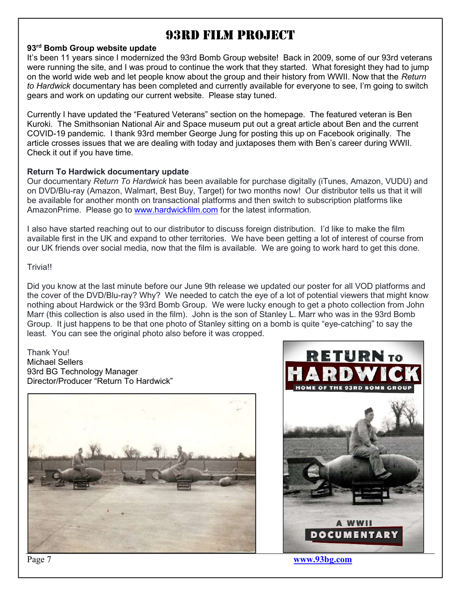## 93rd fiLm Project

#### 93<sup>rd</sup> Bomb Group website update

It's been 11 years since I modernized the 93rd Bomb Group website! Back in 2009, some of our 93rd veterans were running the site, and I was proud to continue the work that they started. What foresight they had to jump on the world wide web and let people know about the group and their history from WWII. Now that the Return to Hardwick documentary has been completed and currently available for everyone to see, I'm going to switch gears and work on updating our current website. Please stay tuned.

Currently I have updated the "Featured Veterans" section on the homepage. The featured veteran is Ben Kuroki. The Smithsonian National Air and Space museum put out a great article about Ben and the current COVID-19 pandemic. I thank 93rd member George Jung for posting this up on Facebook originally. The article crosses issues that we are dealing with today and juxtaposes them with Ben's career during WWII. Check it out if you have time.

#### Return To Hardwick documentary update

Our documentary Return To Hardwick has been available for purchase digitally (iTunes, Amazon, VUDU) and on DVD/Blu-ray (Amazon, Walmart, Best Buy, Target) for two months now! Our distributor tells us that it will be available for another month on transactional platforms and then switch to subscription platforms like AmazonPrime. Please go to www.hardwickfilm.com for the latest information.

I also have started reaching out to our distributor to discuss foreign distribution. I'd like to make the film available first in the UK and expand to other territories. We have been getting a lot of interest of course from our UK friends over social media, now that the film is available. We are going to work hard to get this done.

#### **Trivial!**

Did you know at the last minute before our June 9th release we updated our poster for all VOD platforms and the cover of the DVD/Blu-ray? Why? We needed to catch the eye of a lot of potential viewers that might know nothing about Hardwick or the 93rd Bomb Group. We were lucky enough to get a photo collection from John Marr (this collection is also used in the film). John is the son of Stanley L. Marr who was in the 93rd Bomb Group. It just happens to be that one photo of Stanley sitting on a bomb is quite "eye-catching" to say the least. You can see the original photo also before it was cropped.

#### Thank You! Michael Sellers 93rd BG Technology Manager Director/Producer "Return To Hardwick"



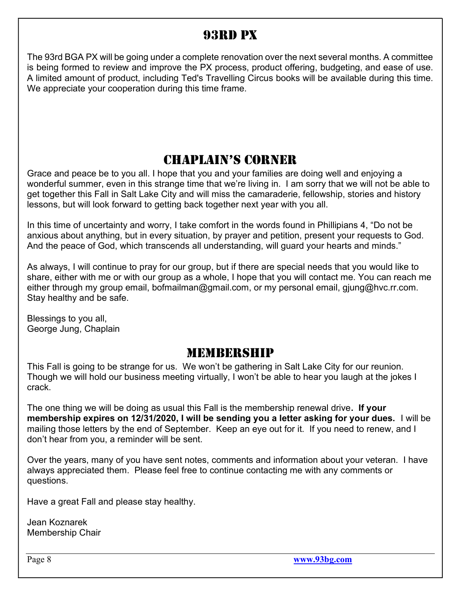## 93rd PX

The 93rd BGA PX will be going under a complete renovation over the next several months. A committee is being formed to review and improve the PX process, product offering, budgeting, and ease of use. A limited amount of product, including Ted's Travelling Circus books will be available during this time. We appreciate your cooperation during this time frame.

## cHAPLAin's corner

Grace and peace be to you all. I hope that you and your families are doing well and enjoying a wonderful summer, even in this strange time that we're living in. I am sorry that we will not be able to get together this Fall in Salt Lake City and will miss the camaraderie, fellowship, stories and history lessons, but will look forward to getting back together next year with you all.

In this time of uncertainty and worry, I take comfort in the words found in Phillipians 4, "Do not be anxious about anything, but in every situation, by prayer and petition, present your requests to God. And the peace of God, which transcends all understanding, will guard your hearts and minds."

As always, I will continue to pray for our group, but if there are special needs that you would like to share, either with me or with our group as a whole, I hope that you will contact me. You can reach me either through my group email, bofmailman@gmail.com, or my personal email, giung@hvc.rr.com. Stay healthy and be safe.

Blessings to you all, George Jung, Chaplain

### MEMBERSHIP

This Fall is going to be strange for us. We won't be gathering in Salt Lake City for our reunion. Though we will hold our business meeting virtually, I won't be able to hear you laugh at the jokes I crack.

The one thing we will be doing as usual this Fall is the membership renewal drive. If your membership expires on 12/31/2020, I will be sending you a letter asking for your dues. I will be mailing those letters by the end of September. Keep an eye out for it. If you need to renew, and I don't hear from you, a reminder will be sent.

Over the years, many of you have sent notes, comments and information about your veteran. I have always appreciated them. Please feel free to continue contacting me with any comments or questions.

Have a great Fall and please stay healthy.

Jean Koznarek Membership Chair